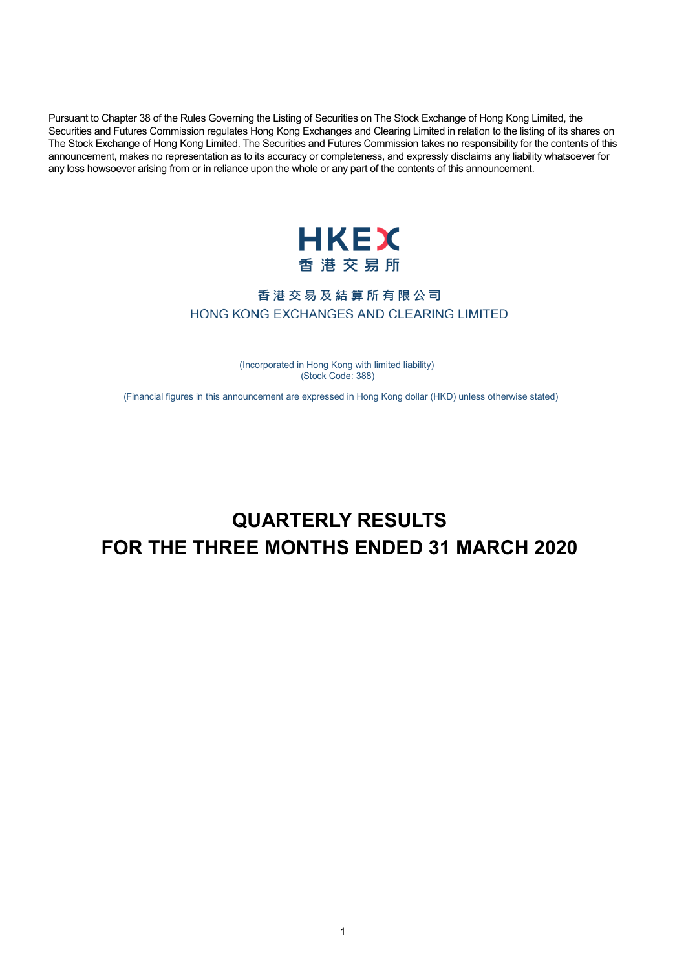Pursuant to Chapter 38 of the Rules Governing the Listing of Securities on The Stock Exchange of Hong Kong Limited, the Securities and Futures Commission regulates Hong Kong Exchanges and Clearing Limited in relation to the listing of its shares on The Stock Exchange of Hong Kong Limited. The Securities and Futures Commission takes no responsibility for the contents of this announcement, makes no representation as to its accuracy or completeness, and expressly disclaims any liability whatsoever for any loss howsoever arising from or in reliance upon the whole or any part of the contents of this announcement.



## 香港交易及結算所有限公司 HONG KONG EXCHANGES AND CLEARING LIMITED

 ( Incorporated in Hong Kong with limited liability) ( Stock Code: 388)

( Financial figures in this announcement are expressed in Hong Kong dollar (HKD) unless otherwise stated)

# **QUARTERLY RESULTS FOR THE THREE MONTHS ENDED 31 MARCH 2020**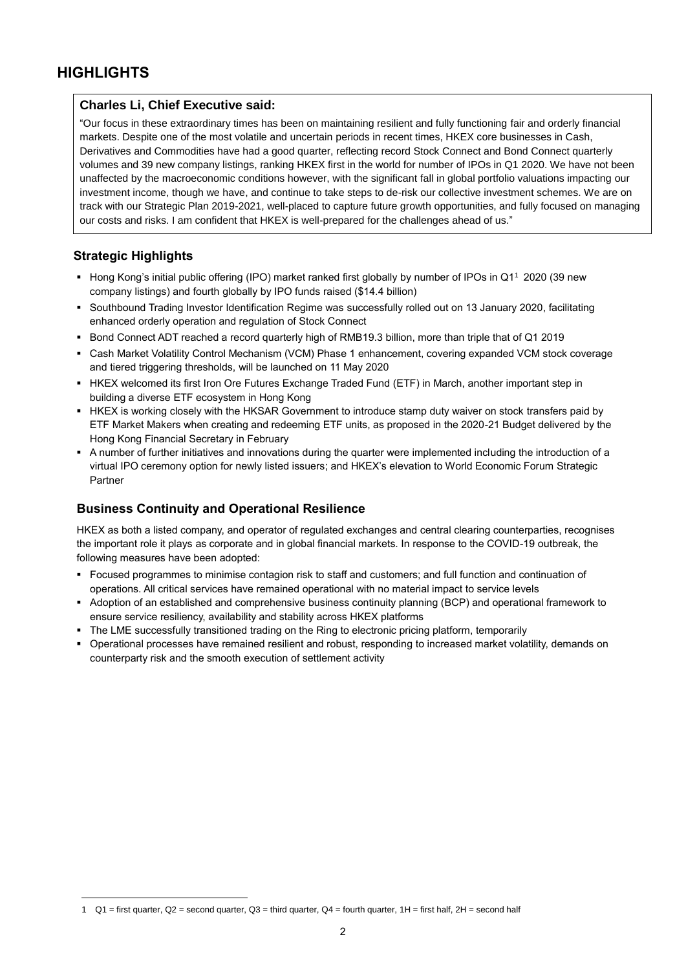## **HIGHLIGHTS**

#### **Charles Li, Chief Executive said:**

"Our focus in these extraordinary times has been on maintaining resilient and fully functioning fair and orderly financial markets. Despite one of the most volatile and uncertain periods in recent times, HKEX core businesses in Cash, Derivatives and Commodities have had a good quarter, reflecting record Stock Connect and Bond Connect quarterly volumes and 39 new company listings, ranking HKEX first in the world for number of IPOs in Q1 2020. We have not been unaffected by the macroeconomic conditions however, with the significant fall in global portfolio valuations impacting our investment income, though we have, and continue to take steps to de-risk our collective investment schemes. We are on track with our Strategic Plan 2019-2021, well-placed to capture future growth opportunities, and fully focused on managing our costs and risks. I am confident that HKEX is well-prepared for the challenges ahead of us."

## **Strategic Highlights**

 $\overline{a}$ 

- Hong Kong's initial public offering (IPO) market ranked first globally by number of IPOs in Q1<sup>1</sup> 2020 (39 new company listings) and fourth globally by IPO funds raised (\$14.4 billion)
- Southbound Trading Investor Identification Regime was successfully rolled out on 13 January 2020, facilitating enhanced orderly operation and regulation of Stock Connect
- Bond Connect ADT reached a record quarterly high of RMB19.3 billion, more than triple that of Q1 2019
- Cash Market Volatility Control Mechanism (VCM) Phase 1 enhancement, covering expanded VCM stock coverage and tiered triggering thresholds, will be launched on 11 May 2020
- HKEX welcomed its first Iron Ore Futures Exchange Traded Fund (ETF) in March, another important step in building a diverse ETF ecosystem in Hong Kong
- HKEX is working closely with the HKSAR Government to introduce stamp duty waiver on stock transfers paid by ETF Market Makers when creating and redeeming ETF units, as proposed in the 2020-21 Budget delivered by the Hong Kong Financial Secretary in February
- A number of further initiatives and innovations during the quarter were implemented including the introduction of a virtual IPO ceremony option for newly listed issuers; and HKEX's elevation to World Economic Forum Strategic Partner

## **Business Continuity and Operational Resilience**

HKEX as both a listed company, and operator of regulated exchanges and central clearing counterparties, recognises the important role it plays as corporate and in global financial markets. In response to the COVID-19 outbreak, the following measures have been adopted:

- Focused programmes to minimise contagion risk to staff and customers; and full function and continuation of operations. All critical services have remained operational with no material impact to service levels
- Adoption of an established and comprehensive business continuity planning (BCP) and operational framework to ensure service resiliency, availability and stability across HKEX platforms
- The LME successfully transitioned trading on the Ring to electronic pricing platform, temporarily
- Operational processes have remained resilient and robust, responding to increased market volatility, demands on counterparty risk and the smooth execution of settlement activity

<sup>1</sup>  $Q1$  = first quarter,  $Q2$  = second quarter,  $Q3$  = third quarter,  $Q4$  = fourth quarter,  $1H$  = first half,  $2H$  = second half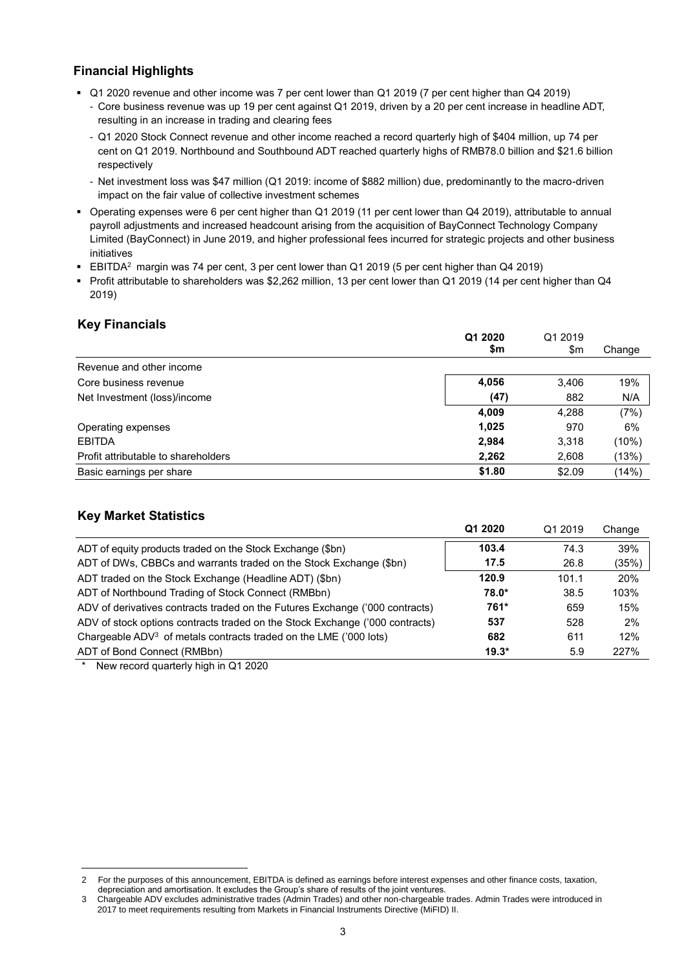## **Financial Highlights**

- Q1 2020 revenue and other income was 7 per cent lower than Q1 2019 (7 per cent higher than Q4 2019)
	- Core business revenue was up 19 per cent against Q1 2019, driven by a 20 per cent increase in headline ADT, resulting in an increase in trading and clearing fees
	- Q1 2020 Stock Connect revenue and other income reached a record quarterly high of \$404 million, up 74 per cent on Q1 2019. Northbound and Southbound ADT reached quarterly highs of RMB78.0 billion and \$21.6 billion respectively
	- Net investment loss was \$47 million (Q1 2019: income of \$882 million) due, predominantly to the macro-driven impact on the fair value of collective investment schemes
- Operating expenses were 6 per cent higher than Q1 2019 (11 per cent lower than Q4 2019), attributable to annual payroll adjustments and increased headcount arising from the acquisition of BayConnect Technology Company Limited (BayConnect) in June 2019, and higher professional fees incurred for strategic projects and other business initiatives
- **EBITDA<sup>2</sup>** margin was 74 per cent, 3 per cent lower than Q1 2019 (5 per cent higher than Q4 2019)
- Profit attributable to shareholders was \$2,262 million, 13 per cent lower than Q1 2019 (14 per cent higher than Q4 2019)

## **Key Financials**

|                                     | Q1 2020 | Q1 2019 |        |
|-------------------------------------|---------|---------|--------|
|                                     | \$m     | \$m     | Change |
| Revenue and other income            |         |         |        |
| Core business revenue               | 4,056   | 3,406   | 19%    |
| Net Investment (loss)/income        | (47)    | 882     | N/A    |
|                                     | 4,009   | 4,288   | (7%)   |
| Operating expenses                  | 1,025   | 970     | 6%     |
| <b>EBITDA</b>                       | 2,984   | 3,318   | (10%)  |
| Profit attributable to shareholders | 2,262   | 2,608   | (13%)  |
| Basic earnings per share            | \$1.80  | \$2.09  | (14%)  |

## **Key Market Statistics**

|                                                                              | Q1 2020 | Q1 2019 | Change |
|------------------------------------------------------------------------------|---------|---------|--------|
| ADT of equity products traded on the Stock Exchange (\$bn)                   | 103.4   | 74.3    | 39%    |
| ADT of DWs, CBBCs and warrants traded on the Stock Exchange (\$bn)           | 17.5    | 26.8    | (35%)  |
| ADT traded on the Stock Exchange (Headline ADT) (\$bn)                       | 120.9   | 101.1   | 20%    |
| ADT of Northbound Trading of Stock Connect (RMBbn)                           | 78.0*   | 38.5    | 103%   |
| ADV of derivatives contracts traded on the Futures Exchange ('000 contracts) | 761*    | 659     | 15%    |
| ADV of stock options contracts traded on the Stock Exchange ('000 contracts) | 537     | 528     | 2%     |
| Chargeable $ADV3$ of metals contracts traded on the LME ('000 lots)          | 682     | 611     | 12%    |
| ADT of Bond Connect (RMBbn)                                                  | $19.3*$ | 5.9     | 227%   |
| $*$ Nouveaux and an extent think in $\Omega$ 4.3030                          |         |         |        |

New record quarterly high in Q1 2020

 $\overline{a}$ 2 For the purposes of this announcement, EBITDA is defined as earnings before interest expenses and other finance costs, taxation, depreciation and amortisation. It excludes the Group's share of results of the joint ventures.

<sup>3</sup> Chargeable ADV excludes administrative trades (Admin Trades) and other non-chargeable trades. Admin Trades were introduced in 2017 to meet requirements resulting from Markets in Financial Instruments Directive (MiFID) II.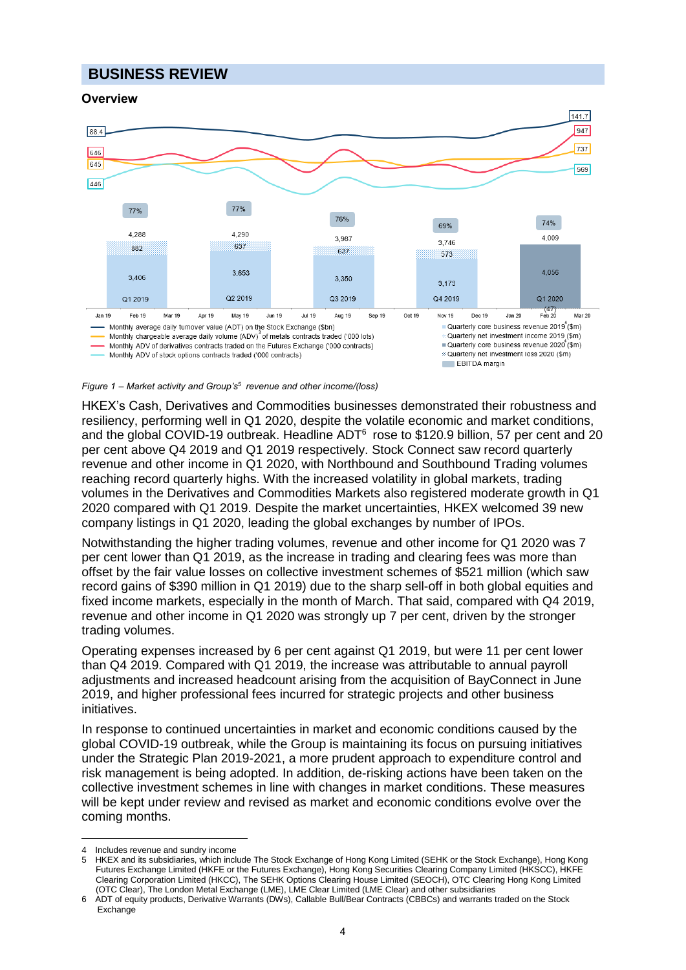## **BUSINESS REVIEW**

## **Overview**



#### *Figure 1<sup>4</sup>– Market activity and Group's 5 revenue and other income/(loss)*

HKEX's Cash, Derivatives and Commodities businesses demonstrated their robustness and resiliency, performing well in Q1 2020, despite the volatile economic and market conditions, and the global COVID-19 outbreak. Headline ADT $6$  rose to \$120.9 billion, 57 per cent and 20 per cent above Q4 2019 and Q1 2019 respectively. Stock Connect saw record quarterly revenue and other income in Q1 2020, with Northbound and Southbound Trading volumes reaching record quarterly highs. With the increased volatility in global markets, trading volumes in the Derivatives and Commodities Markets also registered moderate growth in Q1 2020 compared with Q1 2019. Despite the market uncertainties, HKEX welcomed 39 new company listings in Q1 2020, leading the global exchanges by number of IPOs.

Notwithstanding the higher trading volumes, revenue and other income for Q1 2020 was 7 per cent lower than Q1 2019, as the increase in trading and clearing fees was more than offset by the fair value losses on collective investment schemes of \$521 million (which saw record gains of \$390 million in Q1 2019) due to the sharp sell-off in both global equities and fixed income markets, especially in the month of March. That said, compared with Q4 2019, revenue and other income in Q1 2020 was strongly up 7 per cent, driven by the stronger trading volumes.

Operating expenses increased by 6 per cent against Q1 2019, but were 11 per cent lower than Q4 2019. Compared with Q1 2019, the increase was attributable to annual payroll adjustments and increased headcount arising from the acquisition of BayConnect in June 2019, and higher professional fees incurred for strategic projects and other business initiatives.

In response to continued uncertainties in market and economic conditions caused by the global COVID-19 outbreak, while the Group is maintaining its focus on pursuing initiatives under the Strategic Plan 2019-2021, a more prudent approach to expenditure control and risk management is being adopted. In addition, de-risking actions have been taken on the collective investment schemes in line with changes in market conditions. These measures will be kept under review and revised as market and economic conditions evolve over the coming months.

 $\overline{a}$ 

Includes revenue and sundry income

<sup>5</sup> HKEX and its subsidiaries, which include The Stock Exchange of Hong Kong Limited (SEHK or the Stock Exchange), Hong Kong Futures Exchange Limited (HKFE or the Futures Exchange), Hong Kong Securities Clearing Company Limited (HKSCC), HKFE Clearing Corporation Limited (HKCC), The SEHK Options Clearing House Limited (SEOCH), OTC Clearing Hong Kong Limited (OTC Clear), The London Metal Exchange (LME), LME Clear Limited (LME Clear) and other subsidiaries

<sup>6</sup> ADT of equity products, Derivative Warrants (DWs), Callable Bull/Bear Contracts (CBBCs) and warrants traded on the Stock Exchange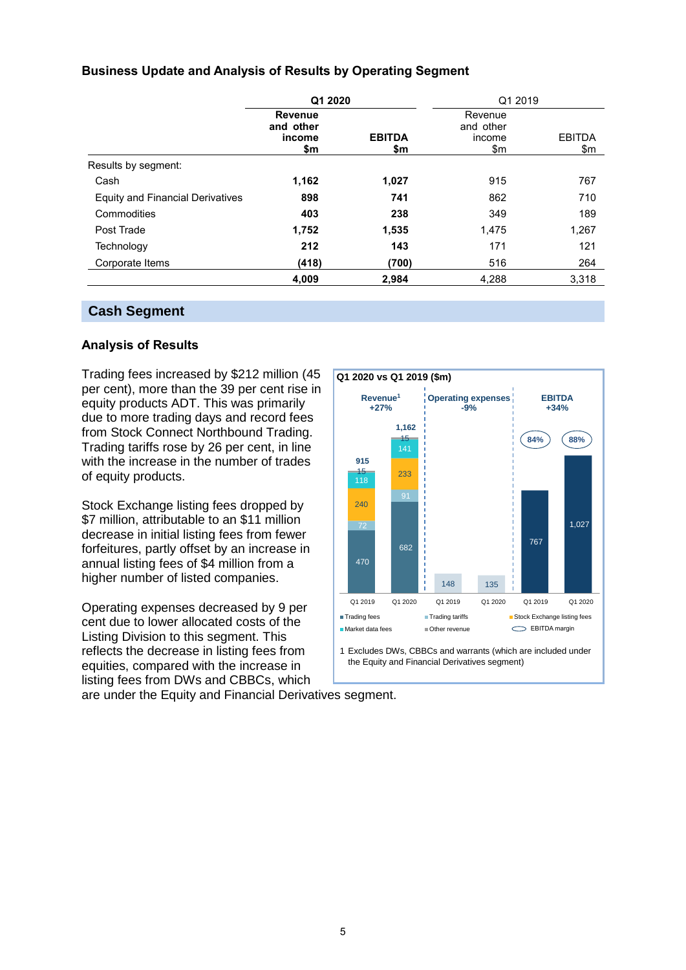## **Business Update and Analysis of Results by Operating Segment**

|                                         | Q1 2020                                      |                      | Q1 2019                               |                      |
|-----------------------------------------|----------------------------------------------|----------------------|---------------------------------------|----------------------|
|                                         | <b>Revenue</b><br>and other<br>income<br>\$m | <b>EBITDA</b><br>\$m | Revenue<br>and other<br>income<br>\$m | <b>EBITDA</b><br>\$m |
| Results by segment:                     |                                              |                      |                                       |                      |
| Cash                                    | 1,162                                        | 1,027                | 915                                   | 767                  |
| <b>Equity and Financial Derivatives</b> | 898                                          | 741                  | 862                                   | 710                  |
| Commodities                             | 403                                          | 238                  | 349                                   | 189                  |
| Post Trade                              | 1,752                                        | 1,535                | 1,475                                 | 1,267                |
| Technology                              | 212                                          | 143                  | 171                                   | 121                  |
| Corporate Items                         | (418)                                        | (700)                | 516                                   | 264                  |
|                                         | 4,009                                        | 2,984                | 4.288                                 | 3,318                |

## **Cash Segment**

## **Analysis of Results**

Trading fees increased by \$212 million (45 per cent), more than the 39 per cent rise in equity products ADT. This was primarily due to more trading days and record fees from Stock Connect Northbound Trading. Trading tariffs rose by 26 per cent, in line with the increase in the number of trades of equity products.

Stock Exchange listing fees dropped by \$7 million, attributable to an \$11 million decrease in initial listing fees from fewer forfeitures, partly offset by an increase in annual listing fees of \$4 million from a higher number of listed companies.

Operating expenses decreased by 9 per cent due to lower allocated costs of the Listing Division to this segment. This reflects the decrease in listing fees from equities, compared with the increase in listing fees from DWs and CBBCs, which



the Equity and Financial Derivatives segment)

are under the Equity and Financial Derivatives segment.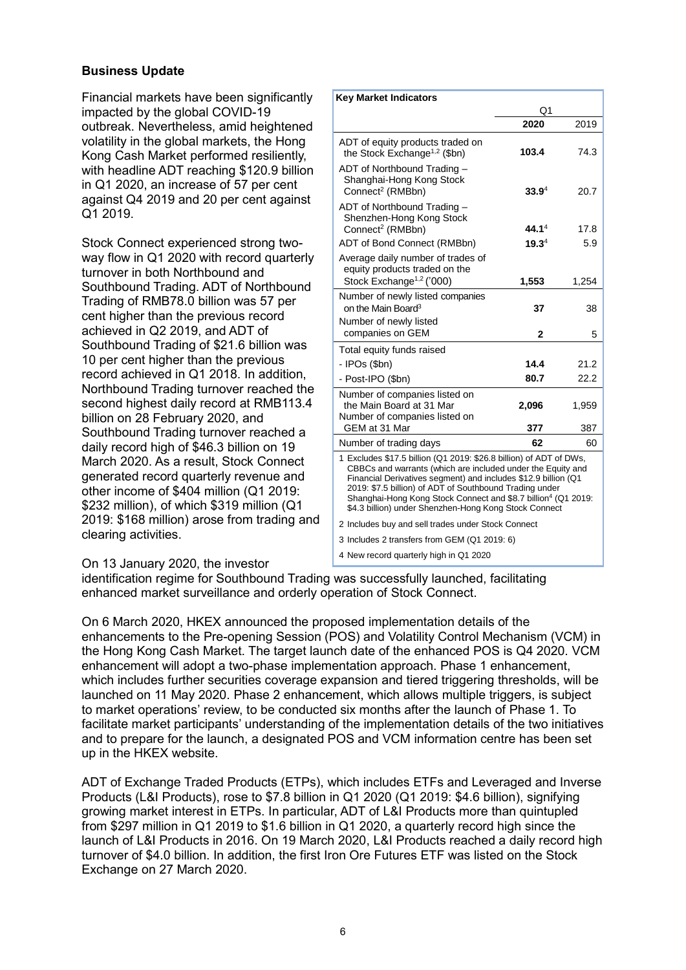## **Business Update**

Financial markets have been significantly impacted by the global COVID-19 outbreak. Nevertheless, amid heightened volatility in the global markets, the Hong Kong Cash Market performed resiliently, with headline ADT reaching \$120.9 billion in Q1 2020, an increase of 57 per cent against Q4 2019 and 20 per cent against Q1 2019.

Stock Connect experienced strong twoway flow in Q1 2020 with record quarterly turnover in both Northbound and Southbound Trading. ADT of Northbound Trading of RMB78.0 billion was 57 per cent higher than the previous record achieved in Q2 2019, and ADT of Southbound Trading of \$21.6 billion was 10 per cent higher than the previous record achieved in Q1 2018. In addition, Northbound Trading turnover reached the second highest daily record at RMB113.4 billion on 28 February 2020, and Southbound Trading turnover reached a daily record high of \$46.3 billion on 19 March 2020. As a result, Stock Connect generated record quarterly revenue and other income of \$404 million (Q1 2019: \$232 million), of which \$319 million (Q1 2019: \$168 million) arose from trading and clearing activities.

|                                                                                                                                                                                                                                                                                                                                                                                                      | Q1                |       |  |
|------------------------------------------------------------------------------------------------------------------------------------------------------------------------------------------------------------------------------------------------------------------------------------------------------------------------------------------------------------------------------------------------------|-------------------|-------|--|
|                                                                                                                                                                                                                                                                                                                                                                                                      | 2020              | 2019  |  |
| ADT of equity products traded on<br>the Stock Exchange <sup>1,2</sup> (\$bn)                                                                                                                                                                                                                                                                                                                         | 103.4             | 74.3  |  |
| ADT of Northbound Trading -<br>Shanghai-Hong Kong Stock<br>Connect <sup>2</sup> (RMBbn)                                                                                                                                                                                                                                                                                                              | 33.9 <sup>4</sup> | 20.7  |  |
| ADT of Northbound Trading -<br>Shenzhen-Hong Kong Stock<br>Connect <sup>2</sup> (RMBbn)                                                                                                                                                                                                                                                                                                              | 44.1 <sup>4</sup> | 17.8  |  |
| ADT of Bond Connect (RMBbn)                                                                                                                                                                                                                                                                                                                                                                          | 19.3 <sup>4</sup> | 5.9   |  |
| Average daily number of trades of<br>equity products traded on the<br>Stock Exchange <sup>1,2</sup> ('000)                                                                                                                                                                                                                                                                                           | 1,553             | 1,254 |  |
| Number of newly listed companies                                                                                                                                                                                                                                                                                                                                                                     |                   |       |  |
| on the Main Board <sup>3</sup>                                                                                                                                                                                                                                                                                                                                                                       | 37                | 38    |  |
| Number of newly listed                                                                                                                                                                                                                                                                                                                                                                               |                   |       |  |
| companies on GEM                                                                                                                                                                                                                                                                                                                                                                                     | $\mathbf{2}$      | 5     |  |
| Total equity funds raised                                                                                                                                                                                                                                                                                                                                                                            |                   |       |  |
| - IPOs (\$bn)                                                                                                                                                                                                                                                                                                                                                                                        | 14.4              | 21.2  |  |
| - Post-IPO (\$bn)                                                                                                                                                                                                                                                                                                                                                                                    | 80.7              | 22.2  |  |
| Number of companies listed on<br>the Main Board at 31 Mar<br>Number of companies listed on                                                                                                                                                                                                                                                                                                           | 2,096             | 1,959 |  |
| GEM at 31 Mar                                                                                                                                                                                                                                                                                                                                                                                        | 377               | 387   |  |
| Number of trading days                                                                                                                                                                                                                                                                                                                                                                               | 62                | 60    |  |
| 1 Excludes \$17.5 billion (Q1 2019: \$26.8 billion) of ADT of DWs,<br>CBBCs and warrants (which are included under the Equity and<br>Financial Derivatives segment) and includes \$12.9 billion (Q1<br>2019: \$7.5 billion) of ADT of Southbound Trading under<br>Shanghai-Hong Kong Stock Connect and \$8.7 billion <sup>4</sup> (Q1 2019:<br>\$4.3 billion) under Shenzhen-Hong Kong Stock Connect |                   |       |  |
| 2 Includes buy and sell trades under Stock Connect                                                                                                                                                                                                                                                                                                                                                   |                   |       |  |
| 3 Includes 2 transfers from GEM (Q1 2019: 6)                                                                                                                                                                                                                                                                                                                                                         |                   |       |  |
| 4 New record quarterly high in Q1 2020                                                                                                                                                                                                                                                                                                                                                               |                   |       |  |

**Key Market Indicators**

## On 13 January 2020, the investor

identification regime for Southbound Trading was successfully launched, facilitating enhanced market surveillance and orderly operation of Stock Connect.

On 6 March 2020, HKEX announced the proposed implementation details of the enhancements to the Pre-opening Session (POS) and Volatility Control Mechanism (VCM) in the Hong Kong Cash Market. The target launch date of the enhanced POS is Q4 2020. VCM enhancement will adopt a two-phase implementation approach. Phase 1 enhancement, which includes further securities coverage expansion and tiered triggering thresholds, will be launched on 11 May 2020. Phase 2 enhancement, which allows multiple triggers, is subject to market operations' review, to be conducted six months after the launch of Phase 1. To facilitate market participants' understanding of the implementation details of the two initiatives and to prepare for the launch, a designated POS and VCM information centre has been set up in the HKEX website.

ADT of Exchange Traded Products (ETPs), which includes ETFs and Leveraged and Inverse Products (L&I Products), rose to \$7.8 billion in Q1 2020 (Q1 2019: \$4.6 billion), signifying growing market interest in ETPs. In particular, ADT of L&I Products more than quintupled from \$297 million in Q1 2019 to \$1.6 billion in Q1 2020, a quarterly record high since the launch of L&I Products in 2016. On 19 March 2020, L&I Products reached a daily record high turnover of \$4.0 billion. In addition, the first Iron Ore Futures ETF was listed on the Stock Exchange on 27 March 2020.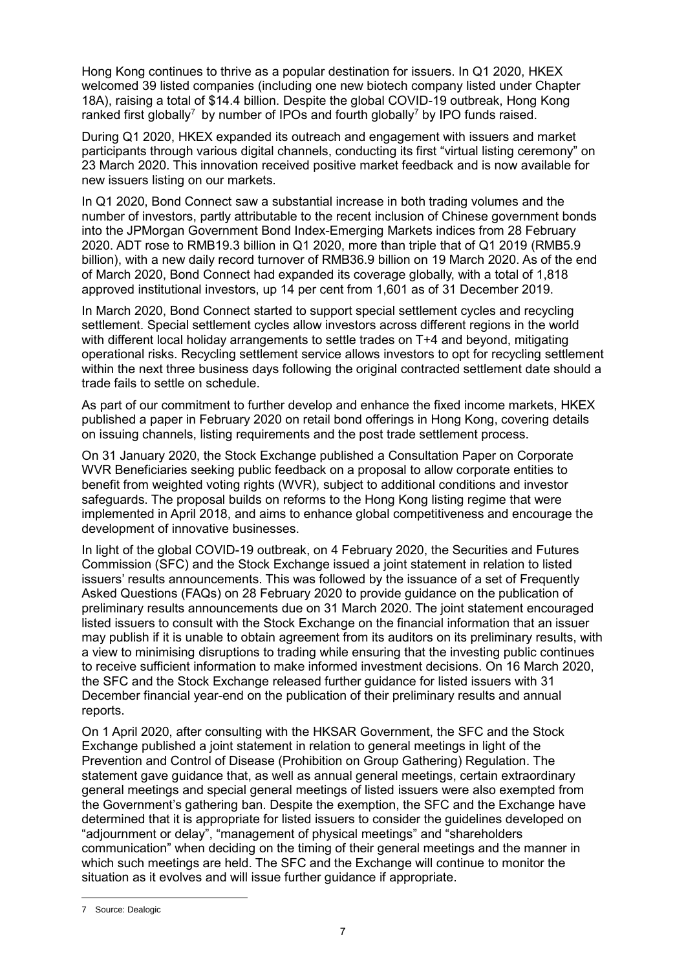Hong Kong continues to thrive as a popular destination for issuers. In Q1 2020, HKEX welcomed 39 listed companies (including one new biotech company listed under Chapter 18A), raising a total of \$14.4 billion. Despite the global COVID-19 outbreak, Hong Kong ranked first globally<sup>7</sup> by number of IPOs and fourth globally<sup>7</sup> by IPO funds raised.

During Q1 2020, HKEX expanded its outreach and engagement with issuers and market participants through various digital channels, conducting its first "virtual listing ceremony" on 23 March 2020. This innovation received positive market feedback and is now available for new issuers listing on our markets.

In Q1 2020, Bond Connect saw a substantial increase in both trading volumes and the number of investors, partly attributable to the recent inclusion of Chinese government bonds into the JPMorgan Government Bond Index-Emerging Markets indices from 28 February 2020. ADT rose to RMB19.3 billion in Q1 2020, more than triple that of Q1 2019 (RMB5.9 billion), with a new daily record turnover of RMB36.9 billion on 19 March 2020. As of the end of March 2020, Bond Connect had expanded its coverage globally, with a total of 1,818 approved institutional investors, up 14 per cent from 1,601 as of 31 December 2019.

In March 2020, Bond Connect started to support special settlement cycles and recycling settlement. Special settlement cycles allow investors across different regions in the world with different local holiday arrangements to settle trades on T+4 and beyond, mitigating operational risks. Recycling settlement service allows investors to opt for recycling settlement within the next three business days following the original contracted settlement date should a trade fails to settle on schedule.

As part of our commitment to further develop and enhance the fixed income markets, HKEX published a paper in February 2020 on retail bond offerings in Hong Kong, covering details on issuing channels, listing requirements and the post trade settlement process.

On 31 January 2020, the Stock Exchange published a Consultation Paper on Corporate WVR Beneficiaries seeking public feedback on a proposal to allow corporate entities to benefit from weighted voting rights (WVR), subject to additional conditions and investor safeguards. The proposal builds on reforms to the Hong Kong listing regime that were implemented in April 2018, and aims to enhance global competitiveness and encourage the development of innovative businesses.

In light of the global COVID-19 outbreak, on 4 February 2020, the Securities and Futures Commission (SFC) and the Stock Exchange issued a joint statement in relation to listed issuers' results announcements. This was followed by the issuance of a set of Frequently Asked Questions (FAQs) on 28 February 2020 to provide guidance on the publication of preliminary results announcements due on 31 March 2020. The joint statement encouraged listed issuers to consult with the Stock Exchange on the financial information that an issuer may publish if it is unable to obtain agreement from its auditors on its preliminary results, with a view to minimising disruptions to trading while ensuring that the investing public continues to receive sufficient information to make informed investment decisions. On 16 March 2020, the SFC and the Stock Exchange released further guidance for listed issuers with 31 December financial year-end on the publication of their preliminary results and annual reports.

On 1 April 2020, after consulting with the HKSAR Government, the SFC and the Stock Exchange published a joint statement in relation to general meetings in light of the Prevention and Control of Disease (Prohibition on Group Gathering) Regulation. The statement gave guidance that, as well as annual general meetings, certain extraordinary general meetings and special general meetings of listed issuers were also exempted from the Government's gathering ban. Despite the exemption, the SFC and the Exchange have determined that it is appropriate for listed issuers to consider the guidelines developed on "adjournment or delay", "management of physical meetings" and "shareholders communication" when deciding on the timing of their general meetings and the manner in which such meetings are held. The SFC and the Exchange will continue to monitor the situation as it evolves and will issue further guidance if appropriate.

 $\overline{a}$ 

<sup>7</sup> Source: Dealogic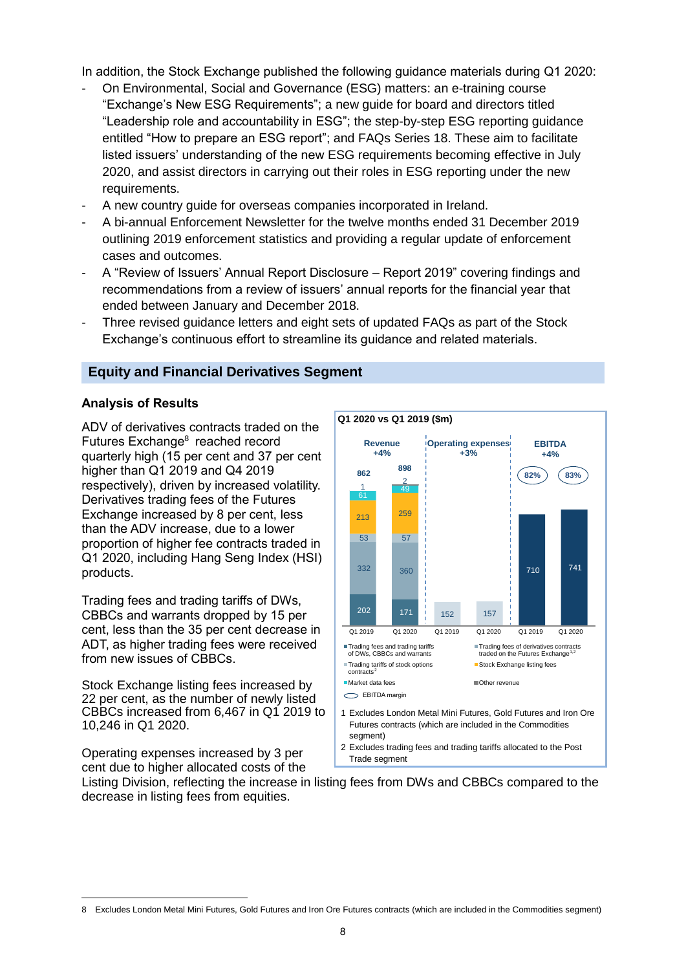In addition, the Stock Exchange published the following guidance materials during Q1 2020:

- On Environmental, Social and Governance (ESG) matters: an e-training course "Exchange's New ESG Requirements"; a new guide for board and directors titled "Leadership role and accountability in ESG"; the step-by-step ESG reporting guidance entitled "How to prepare an ESG report"; and FAQs Series 18. These aim to facilitate listed issuers' understanding of the new ESG requirements becoming effective in July 2020, and assist directors in carrying out their roles in ESG reporting under the new requirements.
- A new country guide for overseas companies incorporated in Ireland.
- A bi-annual Enforcement Newsletter for the twelve months ended 31 December 2019 outlining 2019 enforcement statistics and providing a regular update of enforcement cases and outcomes.
- A "Review of Issuers' Annual Report Disclosure Report 2019" covering findings and recommendations from a review of issuers' annual reports for the financial year that ended between January and December 2018.
- Three revised guidance letters and eight sets of updated FAQs as part of the Stock Exchange's continuous effort to streamline its guidance and related materials.

## **Equity and Financial Derivatives Segment**

#### **Analysis of Results**

ADV of derivatives contracts traded on the Futures Exchange<sup>8</sup> reached record quarterly high (15 per cent and 37 per cent higher than Q1 2019 and Q4 2019 respectively), driven by increased volatility. Derivatives trading fees of the Futures Exchange increased by 8 per cent, less than the ADV increase, due to a lower proportion of higher fee contracts traded in Q1 2020, including Hang Seng Index (HSI) products.

Trading fees and trading tariffs of DWs, CBBCs and warrants dropped by 15 per cent, less than the 35 per cent decrease in ADT, as higher trading fees were received from new issues of CBBCs.

Stock Exchange listing fees increased by 22 per cent, as the number of newly listed CBBCs increased from 6,467 in Q1 2019 to 10,246 in Q1 2020.

Operating expenses increased by 3 per cent due to higher allocated costs of the

 $\overline{a}$ 



Listing Division, reflecting the increase in listing fees from DWs and CBBCs compared to the decrease in listing fees from equities.

<sup>8</sup> Excludes London Metal Mini Futures, Gold Futures and Iron Ore Futures contracts (which are included in the Commodities segment)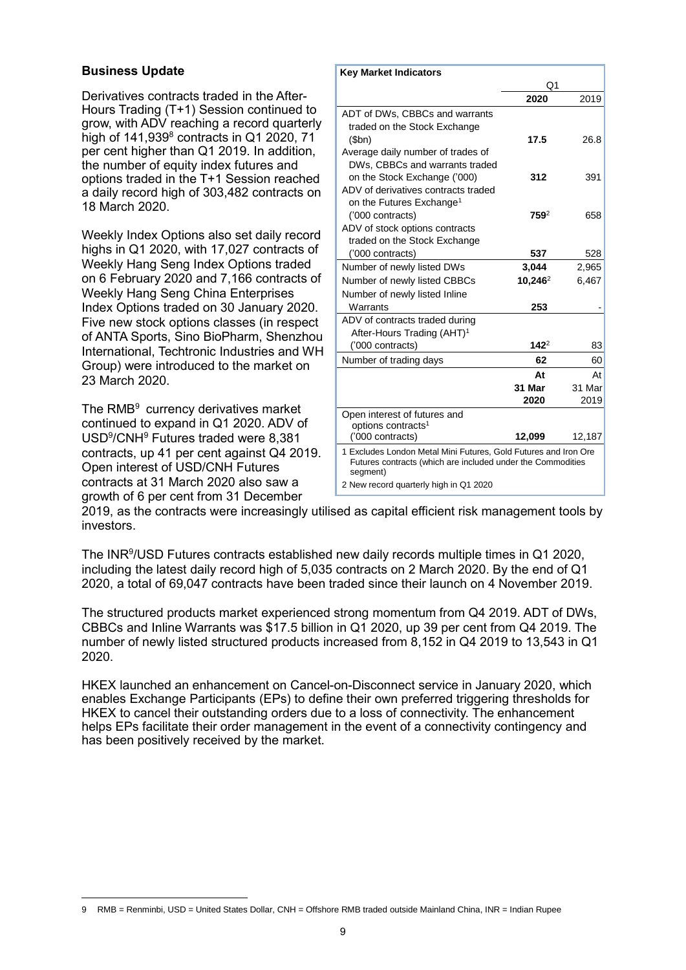## **Business Update**

Derivatives contracts traded in the After-Hours Trading (T+1) Session continued to grow, with ADV reaching a record quarterly high of  $141,939$ <sup>8</sup> contracts in Q1 2020, 71 per cent higher than Q1 2019. In addition, the number of equity index futures and options traded in the T+1 Session reached a daily record high of 303,482 contracts on 18 March 2020.

Weekly Index Options also set daily record highs in Q1 2020, with 17,027 contracts of Weekly Hang Seng Index Options traded on 6 February 2020 and 7,166 contracts of Weekly Hang Seng China Enterprises Index Options traded on 30 January 2020. Five new stock options classes (in respect of ANTA Sports, Sino BioPharm, Shenzhou International, Techtronic Industries and WH Group) were introduced to the market on 23 March 2020.

The RMB<sup>9</sup> currency derivatives market continued to expand in Q1 2020. ADV of USD<sup>9</sup>/CNH<sup>9</sup> Futures traded were 8,381 contracts, up 41 per cent against Q4 2019. Open interest of USD/CNH Futures contracts at 31 March 2020 also saw a growth of 6 per cent from 31 December

| <b>Key Market Indicators</b>                                                                                                               |            |        |
|--------------------------------------------------------------------------------------------------------------------------------------------|------------|--------|
|                                                                                                                                            | Q1         |        |
|                                                                                                                                            | 2020       | 2019   |
| ADT of DWs, CBBCs and warrants                                                                                                             |            |        |
| traded on the Stock Exchange                                                                                                               |            |        |
| (5bn)                                                                                                                                      | 17.5       | 26.8   |
| Average daily number of trades of                                                                                                          |            |        |
| DWs, CBBCs and warrants traded                                                                                                             |            |        |
| on the Stock Exchange ('000)                                                                                                               | 312        | 391    |
| ADV of derivatives contracts traded                                                                                                        |            |        |
| on the Futures Exchange <sup>1</sup>                                                                                                       |            |        |
| ('000 contracts)                                                                                                                           | $759^2$    | 658    |
| ADV of stock options contracts                                                                                                             |            |        |
| traded on the Stock Exchange                                                                                                               |            |        |
| ('000 contracts)                                                                                                                           | 537        | 528    |
| Number of newly listed DWs                                                                                                                 | 3,044      | 2,965  |
| Number of newly listed CBBCs                                                                                                               | $10,246^2$ | 6,467  |
| Number of newly listed Inline                                                                                                              |            |        |
| Warrants                                                                                                                                   | 253        |        |
| ADV of contracts traded during                                                                                                             |            |        |
| After-Hours Trading (AHT) <sup>1</sup>                                                                                                     |            |        |
| ('000 contracts)                                                                                                                           | $142^2$    | 83     |
| Number of trading days                                                                                                                     | 62         | 60     |
|                                                                                                                                            | At         | At     |
|                                                                                                                                            | 31 Mar     | 31 Mar |
|                                                                                                                                            | 2020       | 2019   |
| Open interest of futures and                                                                                                               |            |        |
| options contracts <sup>1</sup>                                                                                                             |            |        |
| ('000 contracts)                                                                                                                           | 12,099     | 12,187 |
| 1 Excludes London Metal Mini Futures, Gold Futures and Iron Ore<br>Futures contracts (which are included under the Commodities<br>segment) |            |        |
| 2 New record quarterly high in Q1 2020                                                                                                     |            |        |

2019, as the contracts were increasingly utilised as capital efficient risk management tools by investors.

The INR<sup>9</sup>/USD Futures contracts established new daily records multiple times in Q1 2020, including the latest daily record high of 5,035 contracts on 2 March 2020. By the end of Q1 2020, a total of 69,047 contracts have been traded since their launch on 4 November 2019.

The structured products market experienced strong momentum from Q4 2019. ADT of DWs, CBBCs and Inline Warrants was \$17.5 billion in Q1 2020, up 39 per cent from Q4 2019. The number of newly listed structured products increased from 8,152 in Q4 2019 to 13,543 in Q1 2020.

HKEX launched an enhancement on Cancel-on-Disconnect service in January 2020, which enables Exchange Participants (EPs) to define their own preferred triggering thresholds for HKEX to cancel their outstanding orders due to a loss of connectivity. The enhancement helps EPs facilitate their order management in the event of a connectivity contingency and has been positively received by the market.

 $\overline{a}$ 9 RMB = Renminbi, USD = United States Dollar, CNH = Offshore RMB traded outside Mainland China, INR = Indian Rupee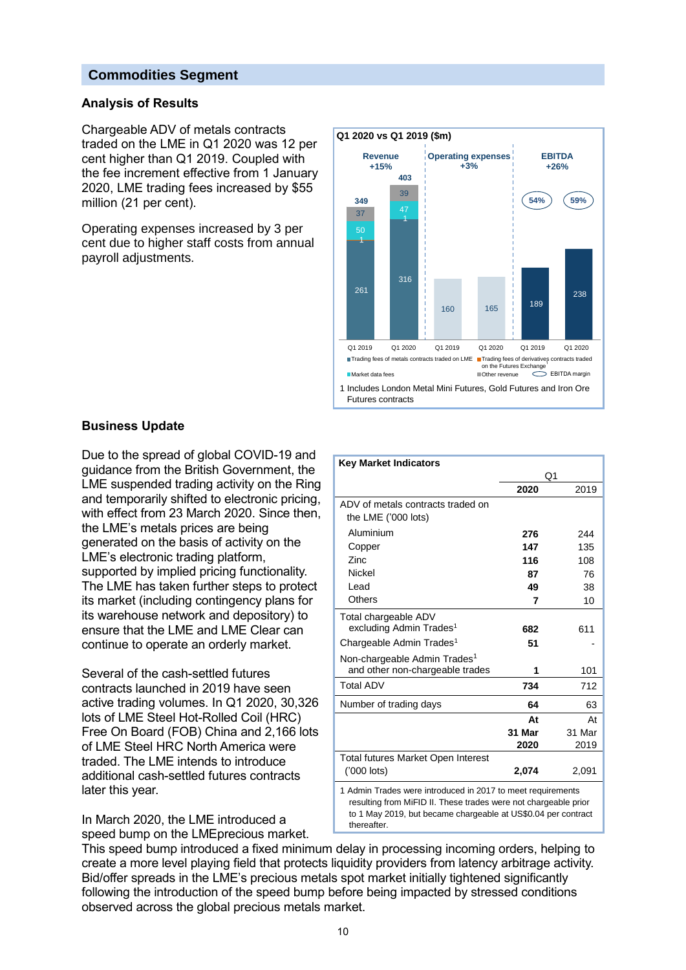## **Commodities Segment**

## **Analysis of Results**

Chargeable ADV of metals contracts traded on the LME in Q1 2020 was 12 per cent higher than Q1 2019. Coupled with the fee increment effective from 1 January 2020, LME trading fees increased by \$55 million (21 per cent).

Operating expenses increased by 3 per cent due to higher staff costs from annual payroll adjustments.



## **Business Update**

Due to the spread of global COVID-19 and guidance from the British Government, the LME suspended trading activity on the Ring and temporarily shifted to electronic pricing, with effect from 23 March 2020. Since then, the LME's metals prices are being generated on the basis of activity on the LME's electronic trading platform, supported by implied pricing functionality. The LME has taken further steps to protect its market (including contingency plans for its warehouse network and depository) to ensure that the LME and LME Clear can continue to operate an orderly market.

Several of the cash-settled futures contracts launched in 2019 have seen active trading volumes. In Q1 2020, 30,326 lots of LME Steel Hot-Rolled Coil (HRC) Free On Board (FOB) China and 2,166 lots of LME Steel HRC North America were traded. The LME intends to introduce additional cash-settled futures contracts later this year.

In March 2020, the LME introduced a speed bump on the LMEprecious market.

| <b>Key Market Indicators</b>                                |        |        |
|-------------------------------------------------------------|--------|--------|
|                                                             | Q1     |        |
|                                                             | 2020   | 2019   |
| ADV of metals contracts traded on                           |        |        |
| the LME ('000 lots)                                         |        |        |
| Aluminium                                                   | 276    | 244    |
| Copper                                                      | 147    | 135    |
| Zinc                                                        | 116    | 108    |
| <b>Nickel</b>                                               | 87     | 76     |
| Lead                                                        | 49     | 38     |
| Others                                                      | 7      | 10     |
| Total chargeable ADV                                        |        |        |
| excluding Admin Trades <sup>1</sup>                         | 682    | 611    |
| Chargeable Admin Trades <sup>1</sup>                        | 51     |        |
| Non-chargeable Admin Trades <sup>1</sup>                    |        |        |
| and other non-chargeable trades                             | 1      | 101    |
| Total ADV                                                   | 734    | 712    |
| Number of trading days                                      | 64     | 63     |
|                                                             | At     | At     |
|                                                             | 31 Mar | 31 Mar |
|                                                             | 2020   | 2019   |
| <b>Total futures Market Open Interest</b>                   |        |        |
| ('000 lots)                                                 | 2,074  | 2,091  |
| 1 Admin Trades were introduced in 2017 to meet requirements |        |        |

resulting from MiFID II. These trades were not chargeable prior to 1 May 2019, but became chargeable at US\$0.04 per contract thereafter.

This speed bump introduced a fixed minimum delay in processing incoming orders, helping to create a more level playing field that protects liquidity providers from latency arbitrage activity. Bid/offer spreads in the LME's precious metals spot market initially tightened significantly following the introduction of the speed bump before being impacted by stressed conditions observed across the global precious metals market.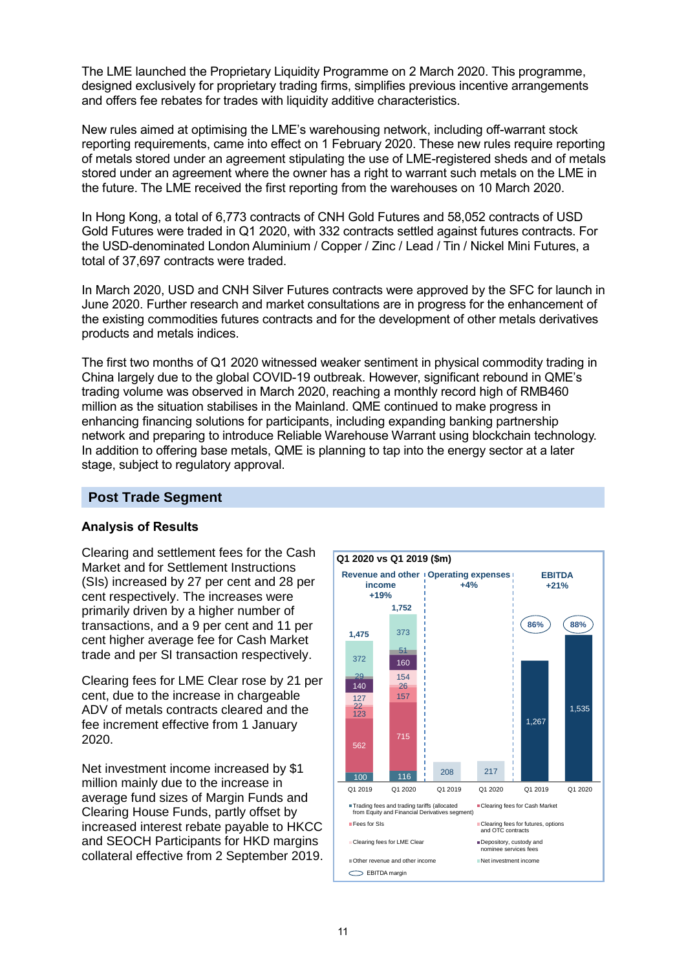The LME launched the Proprietary Liquidity Programme on 2 March 2020. This programme, designed exclusively for proprietary trading firms, simplifies previous incentive arrangements and offers fee rebates for trades with liquidity additive characteristics.

New rules aimed at optimising the LME's warehousing network, including off-warrant stock reporting requirements, came into effect on 1 February 2020. These new rules require reporting of metals stored under an agreement stipulating the use of LME-registered sheds and of metals stored under an agreement where the owner has a right to warrant such metals on the LME in the future. The LME received the first reporting from the warehouses on 10 March 2020.

In Hong Kong, a total of 6,773 contracts of CNH Gold Futures and 58,052 contracts of USD Gold Futures were traded in Q1 2020, with 332 contracts settled against futures contracts. For the USD-denominated London Aluminium / Copper / Zinc / Lead / Tin / Nickel Mini Futures, a total of 37,697 contracts were traded.

In March 2020, USD and CNH Silver Futures contracts were approved by the SFC for launch in June 2020. Further research and market consultations are in progress for the enhancement of the existing commodities futures contracts and for the development of other metals derivatives products and metals indices.

The first two months of Q1 2020 witnessed weaker sentiment in physical commodity trading in China largely due to the global COVID-19 outbreak. However, significant rebound in QME's trading volume was observed in March 2020, reaching a monthly record high of RMB460 million as the situation stabilises in the Mainland. QME continued to make progress in enhancing financing solutions for participants, including expanding banking partnership network and preparing to introduce Reliable Warehouse Warrant using blockchain technology. In addition to offering base metals, QME is planning to tap into the energy sector at a later stage, subject to regulatory approval.

## **Post Trade Segment**

## **Analysis of Results**

Clearing and settlement fees for the Cash Market and for Settlement Instructions (SIs) increased by 27 per cent and 28 per cent respectively. The increases were primarily driven by a higher number of transactions, and a 9 per cent and 11 per cent higher average fee for Cash Market trade and per SI transaction respectively.

Clearing fees for LME Clear rose by 21 per cent, due to the increase in chargeable ADV of metals contracts cleared and the fee increment effective from 1 January 2020.

Net investment income increased by \$1 million mainly due to the increase in average fund sizes of Margin Funds and Clearing House Funds, partly offset by increased interest rebate payable to HKCC and SEOCH Participants for HKD margins collateral effective from 2 September 2019.

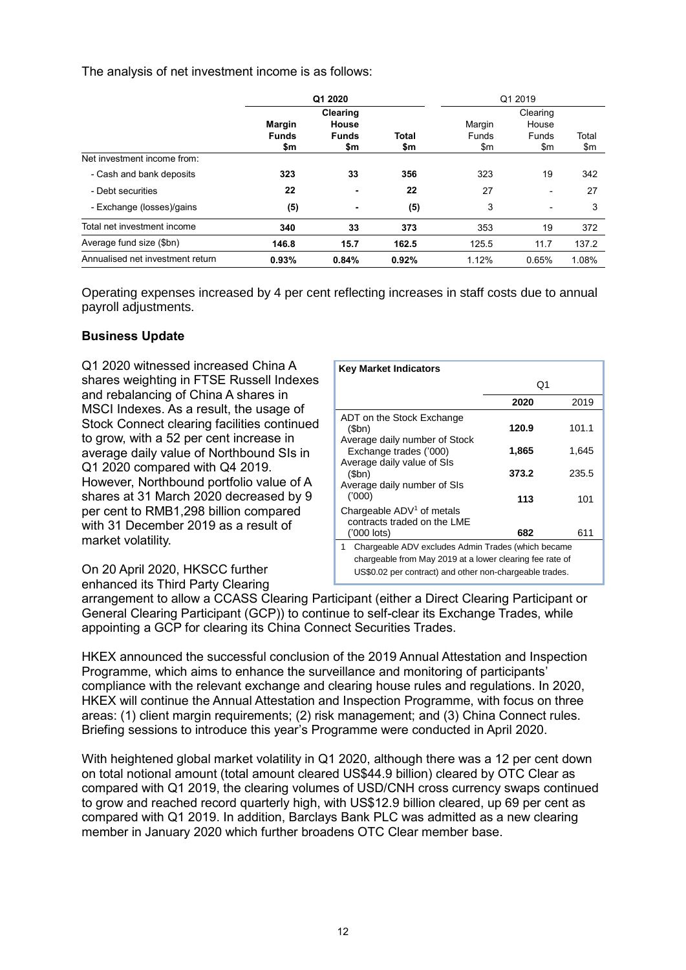The analysis of net investment income is as follows:

|                                  | Q1 2020             |                     |                     | Q1 2019      |                   |              |
|----------------------------------|---------------------|---------------------|---------------------|--------------|-------------------|--------------|
|                                  | Margin              | Clearing<br>House   |                     | Margin       | Clearing<br>House |              |
|                                  | <b>Funds</b><br>\$m | <b>Funds</b><br>\$m | <b>Total</b><br>\$m | Funds<br>\$m | Funds<br>\$m      | Total<br>\$m |
| Net investment income from:      |                     |                     |                     |              |                   |              |
| - Cash and bank deposits         | 323                 | 33                  | 356                 | 323          | 19                | 342          |
| - Debt securities                | 22                  |                     | 22                  | 27           |                   | 27           |
| - Exchange (losses)/gains        | (5)                 | ۰                   | (5)                 | 3            | ٠                 | 3            |
| Total net investment income      | 340                 | 33                  | 373                 | 353          | 19                | 372          |
| Average fund size (\$bn)         | 146.8               | 15.7                | 162.5               | 125.5        | 11.7              | 137.2        |
| Annualised net investment return | 0.93%               | 0.84%               | 0.92%               | 1.12%        | 0.65%             | 1.08%        |

Operating expenses increased by 4 per cent reflecting increases in staff costs due to annual payroll adjustments.

## **Business Update**

Q1 2020 witnessed increased China A shares weighting in FTSE Russell Indexes and rebalancing of China A shares in MSCI Indexes. As a result, the usage of Stock Connect clearing facilities continued to grow, with a 52 per cent increase in average daily value of Northbound SIs in Q1 2020 compared with Q4 2019. However, Northbound portfolio value of A shares at 31 March 2020 decreased by 9 per cent to RMB1,298 billion compared with 31 December 2019 as a result of market volatility.

| <b>Key Market Indicators</b>                                         |       |       |
|----------------------------------------------------------------------|-------|-------|
|                                                                      | O1    |       |
|                                                                      | 2020  | 2019  |
| ADT on the Stock Exchange<br>(Sbn)                                   | 120.9 | 101.1 |
| Average daily number of Stock<br>Exchange trades ('000)              | 1,865 | 1.645 |
| Average daily value of SIs<br>(Sbn)                                  | 373.2 | 235.5 |
| Average daily number of SIs<br>(000)                                 | 113   | 101   |
| Chargeable ADV <sup>1</sup> of metals<br>contracts traded on the LME |       |       |
| ('000 lots)                                                          | 682   | 611   |
| Chargeable ADV excludes Admin Trades (which became<br>1.             |       |       |
| chargeable from May 2019 at a lower clearing fee rate of             |       |       |
| US\$0.02 per contract) and other non-chargeable trades.              |       |       |

On 20 April 2020, HKSCC further enhanced its Third Party Clearing

arrangement to allow a CCASS Clearing Participant (either a Direct Clearing Participant or General Clearing Participant (GCP)) to continue to self-clear its Exchange Trades, while appointing a GCP for clearing its China Connect Securities Trades.

HKEX announced the successful conclusion of the 2019 Annual Attestation and Inspection Programme, which aims to enhance the surveillance and monitoring of participants' compliance with the relevant exchange and clearing house rules and regulations. In 2020, HKEX will continue the Annual Attestation and Inspection Programme, with focus on three areas: (1) client margin requirements; (2) risk management; and (3) China Connect rules. Briefing sessions to introduce this year's Programme were conducted in April 2020.

With heightened global market volatility in Q1 2020, although there was a 12 per cent down on total notional amount (total amount cleared US\$44.9 billion) cleared by OTC Clear as compared with Q1 2019, the clearing volumes of USD/CNH cross currency swaps continued to grow and reached record quarterly high, with US\$12.9 billion cleared, up 69 per cent as compared with Q1 2019. In addition, Barclays Bank PLC was admitted as a new clearing member in January 2020 which further broadens OTC Clear member base.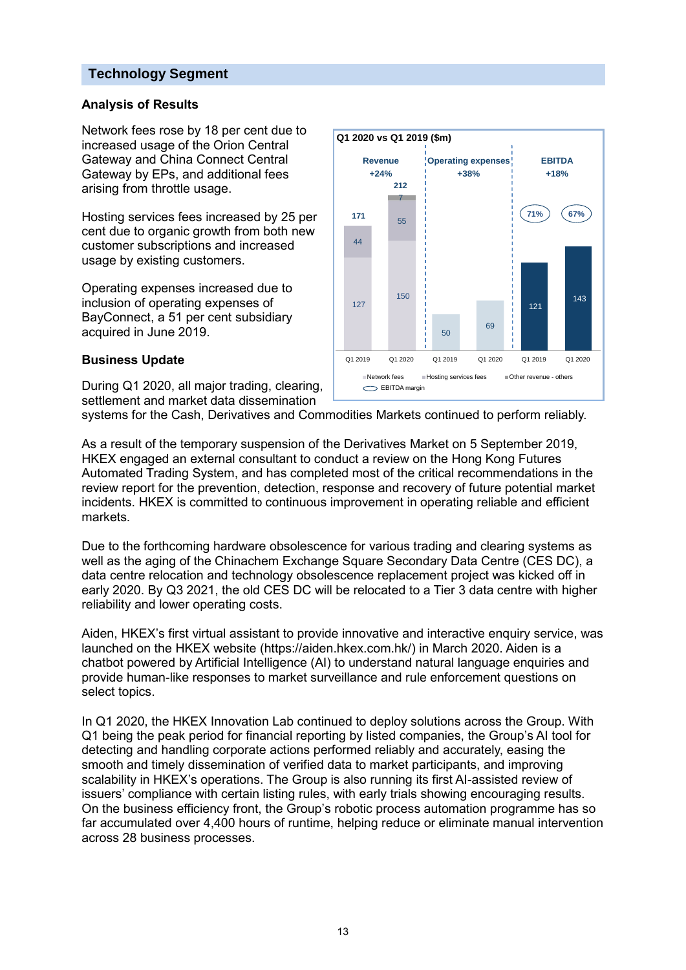## **Technology Segment**

## **Analysis of Results**

Network fees rose by 18 per cent due to increased usage of the Orion Central Gateway and China Connect Central Gateway by EPs, and additional fees arising from throttle usage.

Hosting services fees increased by 25 per cent due to organic growth from both new customer subscriptions and increased usage by existing customers.

Operating expenses increased due to inclusion of operating expenses of BayConnect, a 51 per cent subsidiary acquired in June 2019.

#### **Business Update**

During Q1 2020, all major trading, clearing, settlement and market data dissemination



systems for the Cash, Derivatives and Commodities Markets continued to perform reliably.

As a result of the temporary suspension of the Derivatives Market on 5 September 2019, HKEX engaged an external consultant to conduct a review on the Hong Kong Futures Automated Trading System, and has completed most of the critical recommendations in the review report for the prevention, detection, response and recovery of future potential market incidents. HKEX is committed to continuous improvement in operating reliable and efficient markets.

Due to the forthcoming hardware obsolescence for various trading and clearing systems as well as the aging of the Chinachem Exchange Square Secondary Data Centre (CES DC), a data centre relocation and technology obsolescence replacement project was kicked off in early 2020. By Q3 2021, the old CES DC will be relocated to a Tier 3 data centre with higher reliability and lower operating costs.

Aiden, HKEX's first virtual assistant to provide innovative and interactive enquiry service, was launched on the HKEX website [\(https://aiden.hkex.com.hk/\)](https://aiden.hkex.com.hk/) in March 2020. Aiden is a chatbot powered by Artificial Intelligence (AI) to understand natural language enquiries and provide human-like responses to market surveillance and rule enforcement questions on select topics.

In Q1 2020, the HKEX Innovation Lab continued to deploy solutions across the Group. With Q1 being the peak period for financial reporting by listed companies, the Group's AI tool for detecting and handling corporate actions performed reliably and accurately, easing the smooth and timely dissemination of verified data to market participants, and improving scalability in HKEX's operations. The Group is also running its first AI-assisted review of issuers' compliance with certain listing rules, with early trials showing encouraging results. On the business efficiency front, the Group's robotic process automation programme has so far accumulated over 4,400 hours of runtime, helping reduce or eliminate manual intervention across 28 business processes.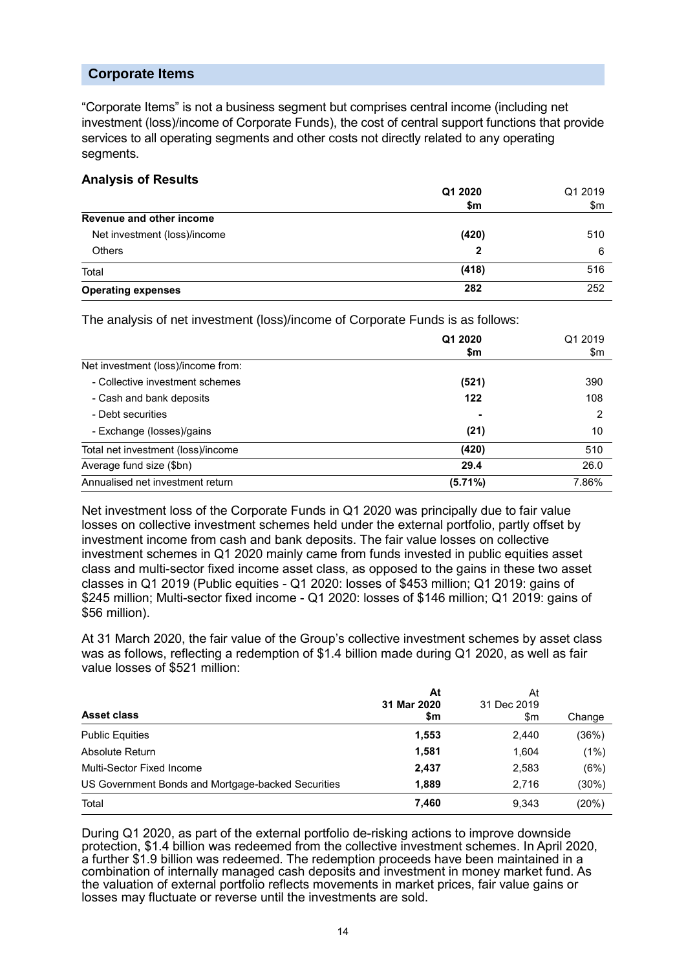## **Corporate Items**

"Corporate Items" is not a business segment but comprises central income (including net investment (loss)/income of Corporate Funds), the cost of central support functions that provide services to all operating segments and other costs not directly related to any operating segments.

#### **Analysis of Results**

|                              | Q1 2020 | Q1 2019 |
|------------------------------|---------|---------|
|                              | \$m     | \$m     |
| Revenue and other income     |         |         |
| Net investment (loss)/income | (420)   | 510     |
| <b>Others</b>                | 2       | 6       |
| Total                        | (418)   | 516     |
| <b>Operating expenses</b>    | 282     | 252     |

The analysis of net investment (loss)/income of Corporate Funds is as follows:

|                                    | Q1 2020 | Q1 2019 |
|------------------------------------|---------|---------|
|                                    | \$m     | \$m     |
| Net investment (loss)/income from: |         |         |
| - Collective investment schemes    | (521)   | 390     |
| - Cash and bank deposits           | 122     | 108     |
| - Debt securities                  | ۰       | 2       |
| - Exchange (losses)/gains          | (21)    | 10      |
| Total net investment (loss)/income | (420)   | 510     |
| Average fund size (\$bn)           | 29.4    | 26.0    |
| Annualised net investment return   | (5.71%) | 7.86%   |

Net investment loss of the Corporate Funds in Q1 2020 was principally due to fair value losses on collective investment schemes held under the external portfolio, partly offset by investment income from cash and bank deposits. The fair value losses on collective investment schemes in Q1 2020 mainly came from funds invested in public equities asset class and multi-sector fixed income asset class, as opposed to the gains in these two asset classes in Q1 2019 (Public equities - Q1 2020: losses of \$453 million; Q1 2019: gains of \$245 million; Multi-sector fixed income - Q1 2020: losses of \$146 million; Q1 2019: gains of \$56 million).

At 31 March 2020, the fair value of the Group's collective investment schemes by asset class was as follows, reflecting a redemption of \$1.4 billion made during Q1 2020, as well as fair value losses of \$521 million:

| <b>Asset class</b>                                 | At<br>31 Mar 2020<br>\$m | At<br>31 Dec 2019<br>\$m | Change |
|----------------------------------------------------|--------------------------|--------------------------|--------|
| <b>Public Equities</b>                             | 1,553                    | 2,440                    | (36%)  |
| Absolute Return                                    | 1,581                    | 1.604                    | (1%)   |
| Multi-Sector Fixed Income                          | 2,437                    | 2,583                    | (6%)   |
| US Government Bonds and Mortgage-backed Securities | 1,889                    | 2.716                    | (30%)  |
| Total                                              | 7,460                    | 9.343                    | (20%)  |

During Q1 2020, as part of the external portfolio de-risking actions to improve downside protection, \$1.4 billion was redeemed from the collective investment schemes. In April 2020, a further \$1.9 billion was redeemed. The redemption proceeds have been maintained in a combination of internally managed cash deposits and investment in money market fund. As the valuation of external portfolio reflects movements in market prices, fair value gains or losses may fluctuate or reverse until the investments are sold.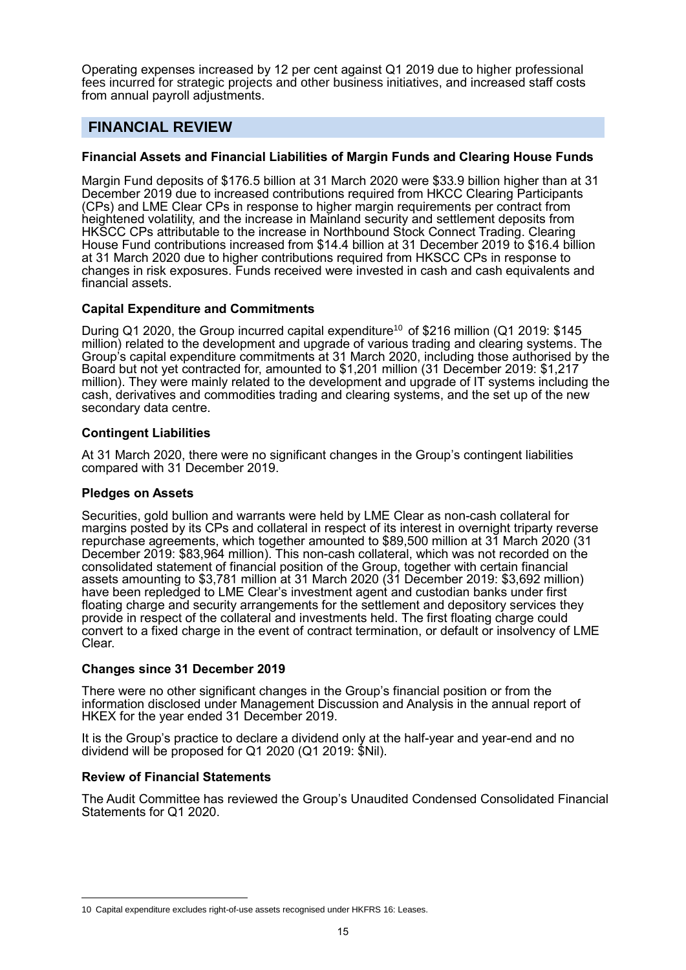Operating expenses increased by 12 per cent against Q1 2019 due to higher professional fees incurred for strategic projects and other business initiatives, and increased staff costs from annual payroll adjustments.

## **FINANCIAL REVIEW**

## **Financial Assets and Financial Liabilities of Margin Funds and Clearing House Funds**

Margin Fund deposits of \$176.5 billion at 31 March 2020 were \$33.9 billion higher than at 31 December 2019 due to increased contributions required from HKCC Clearing Participants (CPs) and LME Clear CPs in response to higher margin requirements per contract from heightened volatility, and the increase in Mainland security and settlement deposits from HKSCC CPs attributable to the increase in Northbound Stock Connect Trading. Clearing House Fund contributions increased from \$14.4 billion at 31 December 2019 to \$16.4 billion at 31 March 2020 due to higher contributions required from HKSCC CPs in response to changes in risk exposures. Funds received were invested in cash and cash equivalents and financial assets.

#### **Capital Expenditure and Commitments**

During Q1 2020, the Group incurred capital expenditure<sup>10</sup> of \$216 million (Q1 2019: \$145 million) related to the development and upgrade of various trading and clearing systems. The Group's capital expenditure commitments at 31 March 2020, including those authorised by the Board but not yet contracted for, amounted to \$1,201 million (31 December 2019: \$1,217 million). They were mainly related to the development and upgrade of IT systems including the cash, derivatives and commodities trading and clearing systems, and the set up of the new secondary data centre.

#### **Contingent Liabilities**

At 31 March 2020, there were no significant changes in the Group's contingent liabilities compared with 31 December 2019.

#### **Pledges on Assets**

Securities, gold bullion and warrants were held by LME Clear as non-cash collateral for margins posted by its CPs and collateral in respect of its interest in overnight triparty reverse repurchase agreements, which together amounted to \$89,500 million at 31 March 2020 (31 December 2019: \$83,964 million). This non-cash collateral, which was not recorded on the consolidated statement of financial position of the Group, together with certain financial assets amounting to \$3,781 million at 31 March 2020 (31 December 2019: \$3,692 million) have been repledged to LME Clear's investment agent and custodian banks under first floating charge and security arrangements for the settlement and depository services they provide in respect of the collateral and investments held. The first floating charge could convert to a fixed charge in the event of contract termination, or default or insolvency of LME Clear.

#### **Changes since 31 December 2019**

There were no other significant changes in the Group's financial position or from the information disclosed under Management Discussion and Analysis in the annual report of HKEX for the year ended 31 December 2019.

It is the Group's practice to declare a dividend only at the half-year and year-end and no dividend will be proposed for Q1 2020 (Q1 2019: \$Nil).

#### **Review of Financial Statements**

 $\overline{a}$ 

The Audit Committee has reviewed the Group's Unaudited Condensed Consolidated Financial Statements for Q1 2020.

<sup>10</sup> Capital expenditure excludes right-of-use assets recognised under HKFRS 16: Leases.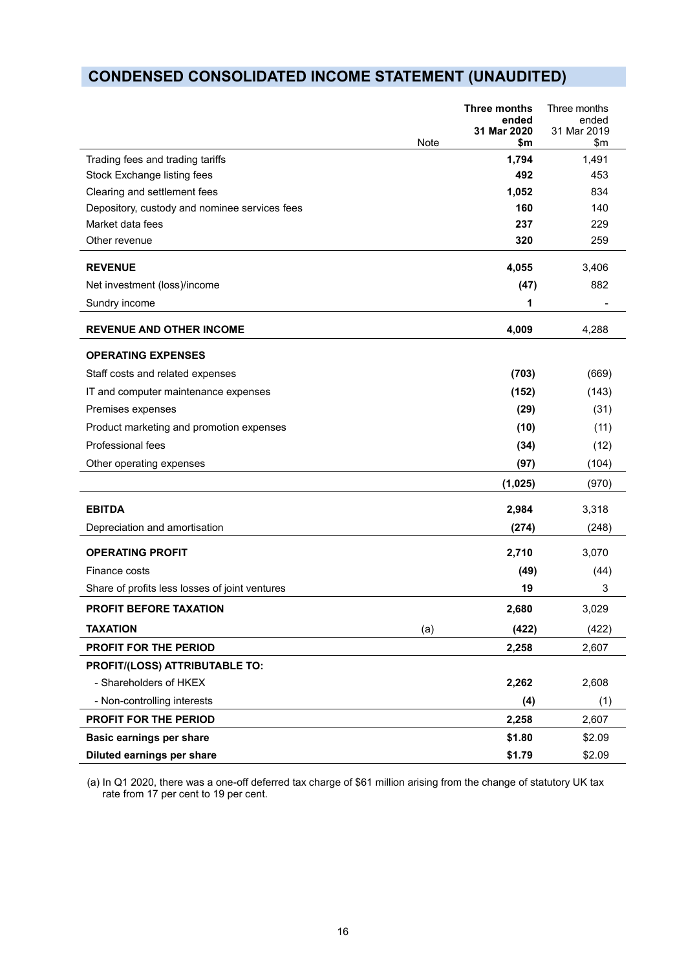# **CONDENSED CONSOLIDATED INCOME STATEMENT (UNAUDITED)**

| Note                                           | <b>Three months</b><br>ended<br>31 Mar 2020<br>\$m | Three months<br>ended<br>31 Mar 2019<br>\$m |
|------------------------------------------------|----------------------------------------------------|---------------------------------------------|
| Trading fees and trading tariffs               | 1,794                                              | 1,491                                       |
| Stock Exchange listing fees                    | 492                                                | 453                                         |
| Clearing and settlement fees                   | 1,052                                              | 834                                         |
| Depository, custody and nominee services fees  | 160                                                | 140                                         |
| Market data fees                               | 237                                                | 229                                         |
| Other revenue                                  | 320                                                | 259                                         |
| <b>REVENUE</b>                                 | 4,055                                              | 3,406                                       |
| Net investment (loss)/income                   | (47)                                               | 882                                         |
| Sundry income                                  | 1                                                  |                                             |
| <b>REVENUE AND OTHER INCOME</b>                | 4,009                                              | 4,288                                       |
| <b>OPERATING EXPENSES</b>                      |                                                    |                                             |
| Staff costs and related expenses               | (703)                                              | (669)                                       |
| IT and computer maintenance expenses           | (152)                                              | (143)                                       |
| Premises expenses                              | (29)                                               | (31)                                        |
| Product marketing and promotion expenses       | (10)                                               | (11)                                        |
| Professional fees                              | (34)                                               | (12)                                        |
| Other operating expenses                       | (97)                                               | (104)                                       |
|                                                | (1,025)                                            | (970)                                       |
| <b>EBITDA</b>                                  | 2,984                                              | 3,318                                       |
| Depreciation and amortisation                  | (274)                                              | (248)                                       |
| <b>OPERATING PROFIT</b>                        | 2,710                                              | 3,070                                       |
| Finance costs                                  | (49)                                               | (44)                                        |
| Share of profits less losses of joint ventures | 19                                                 | 3                                           |
| <b>PROFIT BEFORE TAXATION</b>                  | 2,680                                              | 3,029                                       |
| <b>TAXATION</b><br>(a)                         | (422)                                              | (422)                                       |
| PROFIT FOR THE PERIOD                          | 2,258                                              | 2,607                                       |
| PROFIT/(LOSS) ATTRIBUTABLE TO:                 |                                                    |                                             |
| - Shareholders of HKEX                         | 2,262                                              | 2,608                                       |
| - Non-controlling interests                    | (4)                                                | (1)                                         |
| PROFIT FOR THE PERIOD                          | 2,258                                              | 2,607                                       |
| Basic earnings per share                       | \$1.80                                             | \$2.09                                      |
| Diluted earnings per share                     | \$1.79                                             | \$2.09                                      |

(a) In Q1 2020, there was a one-off deferred tax charge of \$61 million arising from the change of statutory UK tax rate from 17 per cent to 19 per cent.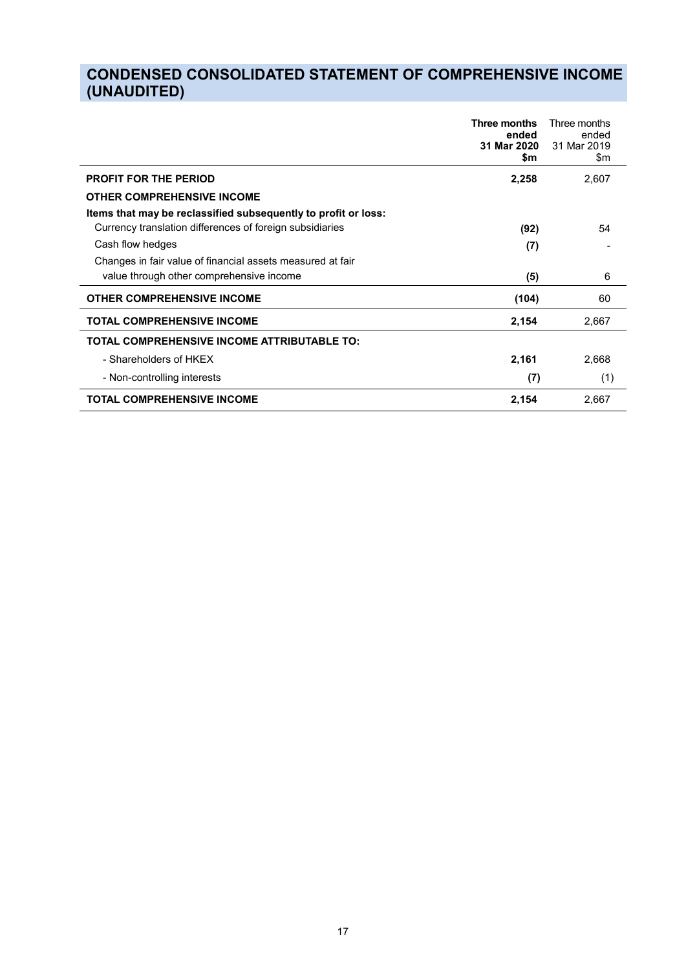# **CONDENSED CONSOLIDATED STATEMENT OF COMPREHENSIVE INCOME (UNAUDITED)**

|                                                                | Three months<br>ended<br>31 Mar 2020<br>\$m | Three months<br>ended<br>31 Mar 2019<br>\$m |
|----------------------------------------------------------------|---------------------------------------------|---------------------------------------------|
| <b>PROFIT FOR THE PERIOD</b>                                   | 2,258                                       | 2,607                                       |
| <b>OTHER COMPREHENSIVE INCOME</b>                              |                                             |                                             |
| Items that may be reclassified subsequently to profit or loss: |                                             |                                             |
| Currency translation differences of foreign subsidiaries       | (92)                                        | 54                                          |
| Cash flow hedges                                               | (7)                                         |                                             |
| Changes in fair value of financial assets measured at fair     |                                             |                                             |
| value through other comprehensive income                       | (5)                                         | 6                                           |
| <b>OTHER COMPREHENSIVE INCOME</b>                              | (104)                                       | 60                                          |
| <b>TOTAL COMPREHENSIVE INCOME</b>                              | 2,154                                       | 2,667                                       |
| <b>TOTAL COMPREHENSIVE INCOME ATTRIBUTABLE TO:</b>             |                                             |                                             |
| - Shareholders of HKEX                                         | 2,161                                       | 2,668                                       |
| - Non-controlling interests                                    | (7)                                         | (1)                                         |
| <b>TOTAL COMPREHENSIVE INCOME</b>                              | 2,154                                       | 2,667                                       |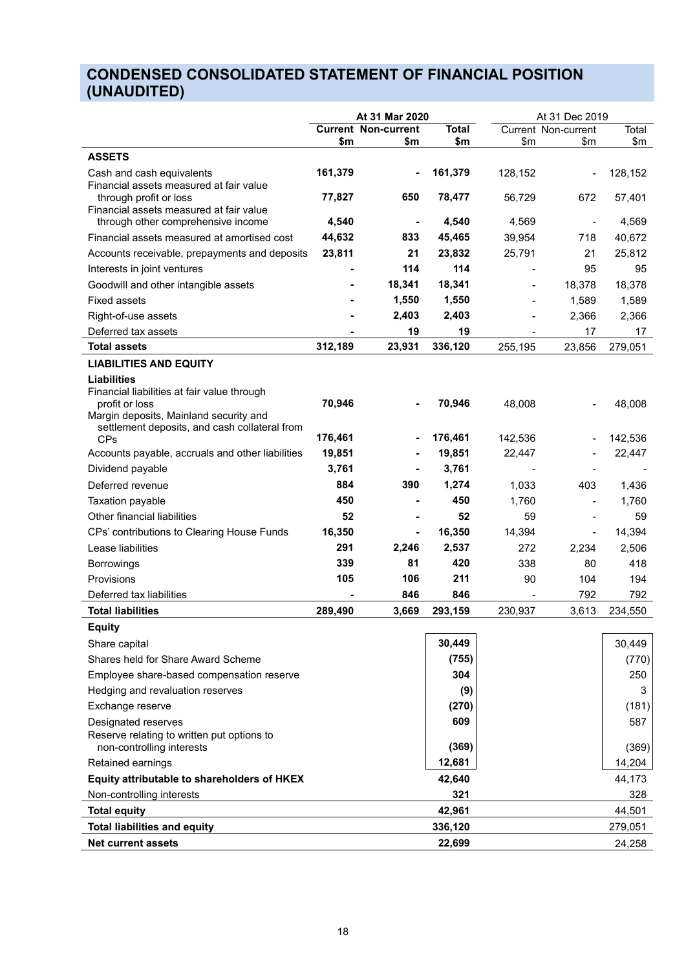## **CONDENSED CONSOLIDATED STATEMENT OF FINANCIAL POSITION (UNAUDITED)**

|                                                                         | At 31 Mar 2020 |                              |              |                              | At 31 Dec 2019               |                   |
|-------------------------------------------------------------------------|----------------|------------------------------|--------------|------------------------------|------------------------------|-------------------|
|                                                                         |                | <b>Current Non-current</b>   | <b>Total</b> |                              | <b>Current Non-current</b>   | Total             |
| <b>ASSETS</b>                                                           | \$m            | \$m                          | \$m          | $\mathsf{S}$ m               | $\mathsf{m}$                 | \$m               |
|                                                                         |                |                              |              |                              |                              |                   |
| Cash and cash equivalents<br>Financial assets measured at fair value    | 161,379        |                              | 161,379      | 128,152                      |                              | 128,152           |
| through profit or loss                                                  | 77,827         | 650                          | 78,477       | 56,729                       | 672                          | 57,401            |
| Financial assets measured at fair value                                 |                |                              |              |                              |                              |                   |
| through other comprehensive income                                      | 4,540          | $\overline{\phantom{a}}$     | 4,540        | 4,569                        | $\qquad \qquad \blacksquare$ | 4,569             |
| Financial assets measured at amortised cost                             | 44,632         | 833                          | 45,465       | 39,954                       | 718                          | 40,672            |
| Accounts receivable, prepayments and deposits                           | 23,811         | 21                           | 23,832       | 25,791                       | 21                           | 25,812            |
| Interests in joint ventures                                             |                | 114                          | 114          |                              | 95                           | 95                |
| Goodwill and other intangible assets                                    |                | 18,341                       | 18,341       |                              | 18,378                       | 18,378            |
| <b>Fixed assets</b>                                                     |                | 1,550                        | 1,550        |                              | 1,589                        | 1,589             |
| Right-of-use assets                                                     |                | 2,403                        | 2,403        |                              | 2,366                        | 2,366             |
| Deferred tax assets                                                     |                | 19                           | 19           | $\blacksquare$               | 17                           | 17                |
| <b>Total assets</b>                                                     | 312,189        | 23,931                       | 336,120      | 255,195                      | 23,856                       | 279,051           |
| <b>LIABILITIES AND EQUITY</b>                                           |                |                              |              |                              |                              |                   |
| <b>Liabilities</b>                                                      |                |                              |              |                              |                              |                   |
| Financial liabilities at fair value through<br>profit or loss           | 70,946         |                              | 70,946       | 48,008                       |                              | 48,008            |
| Margin deposits, Mainland security and                                  |                |                              |              |                              |                              |                   |
| settlement deposits, and cash collateral from                           | 176,461        |                              | 176,461      | 142,536                      |                              |                   |
| <b>CPs</b><br>Accounts payable, accruals and other liabilities          | 19,851         |                              | 19,851       | 22,447                       |                              | 142,536<br>22,447 |
|                                                                         |                |                              |              |                              |                              |                   |
| Dividend payable<br>Deferred revenue                                    | 3,761<br>884   | 390                          | 3,761        | $\qquad \qquad \blacksquare$ |                              |                   |
|                                                                         |                |                              | 1,274<br>450 | 1,033                        | 403                          | 1,436             |
| Taxation payable<br>Other financial liabilities                         | 450<br>52      |                              | 52           | 1,760<br>59                  | $\qquad \qquad \blacksquare$ | 1,760             |
|                                                                         |                |                              |              |                              |                              | 59                |
| CPs' contributions to Clearing House Funds                              | 16,350         | $\qquad \qquad \blacksquare$ | 16,350       | 14,394<br>272                | $\overline{\phantom{a}}$     | 14,394            |
| Lease liabilities                                                       | 291            | 2,246<br>81                  | 2,537        |                              | 2,234                        | 2,506             |
| <b>Borrowings</b>                                                       | 339            |                              | 420<br>211   | 338                          | 80                           | 418               |
| Provisions                                                              | 105            | 106<br>846                   | 846          | 90                           | 104                          | 194               |
| Deferred tax liabilities                                                |                |                              |              |                              | 792                          | 792               |
| <b>Total liabilities</b>                                                | 289,490        | 3,669                        | 293,159      | 230,937                      | 3,613                        | 234,550           |
| <b>Equity</b>                                                           |                |                              |              |                              |                              |                   |
| Share capital                                                           |                |                              | 30,449       |                              |                              | 30,449            |
| Shares held for Share Award Scheme                                      |                |                              | (755)        |                              |                              | (770)             |
| Employee share-based compensation reserve                               |                |                              | 304          |                              |                              | 250               |
| Hedging and revaluation reserves                                        |                |                              | (9)          |                              |                              | 3                 |
| Exchange reserve                                                        |                |                              | (270)        |                              |                              | (181)             |
| Designated reserves                                                     |                |                              | 609          |                              |                              | 587               |
| Reserve relating to written put options to<br>non-controlling interests |                |                              | (369)        |                              |                              | (369)             |
| Retained earnings                                                       |                |                              | 12,681       |                              |                              | 14,204            |
| Equity attributable to shareholders of HKEX                             |                |                              | 42,640       |                              |                              | 44,173            |
| Non-controlling interests                                               |                |                              | 321          |                              |                              | 328               |
| <b>Total equity</b>                                                     |                |                              | 42,961       |                              |                              | 44,501            |
| <b>Total liabilities and equity</b>                                     |                |                              | 336,120      |                              |                              | 279,051           |
| <b>Net current assets</b>                                               |                |                              | 22,699       |                              |                              | 24,258            |